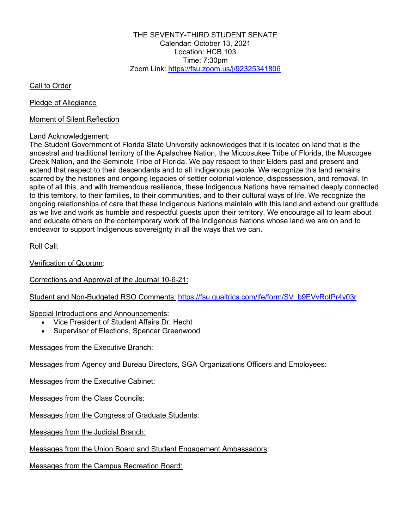THE SEVENTY-THIRD STUDENT SENATE Calendar: October 13, 2021 Location: HCB 103 Time: 7:30pm Zoom Link: https://fsu.zoom.us/j/92325341806

Call to Order

Pledge of Allegiance

Moment of Silent Reflection

### Land Acknowledgement:

The Student Government of Florida State University acknowledges that it is located on land that is the ancestral and traditional territory of the Apalachee Nation, the Miccosukee Tribe of Florida, the Muscogee Creek Nation, and the Seminole Tribe of Florida. We pay respect to their Elders past and present and extend that respect to their descendants and to all Indigenous people. We recognize this land remains scarred by the histories and ongoing legacies of settler colonial violence, dispossession, and removal. In spite of all this, and with tremendous resilience, these Indigenous Nations have remained deeply connected to this territory, to their families, to their communities, and to their cultural ways of life. We recognize the ongoing relationships of care that these Indigenous Nations maintain with this land and extend our gratitude as we live and work as humble and respectful guests upon their territory. We encourage all to learn about and educate others on the contemporary work of the Indigenous Nations whose land we are on and to endeavor to support Indigenous sovereignty in all the ways that we can.

Roll Call:

Verification of Quorum:

# Corrections and Approval of the Journal 10-6-21:

Student and Non-Budgeted RSO Comments: https://fsu.qualtrics.com/jfe/form/SV\_b9EVvRotPr4y03r

Special Introductions and Announcements:

- Vice President of Student Affairs Dr. Hecht
- Supervisor of Elections, Spencer Greenwood

Messages from the Executive Branch:

Messages from Agency and Bureau Directors, SGA Organizations Officers and Employees:

Messages from the Executive Cabinet:

Messages from the Class Councils:

Messages from the Congress of Graduate Students:

Messages from the Judicial Branch:

Messages from the Union Board and Student Engagement Ambassadors:

Messages from the Campus Recreation Board: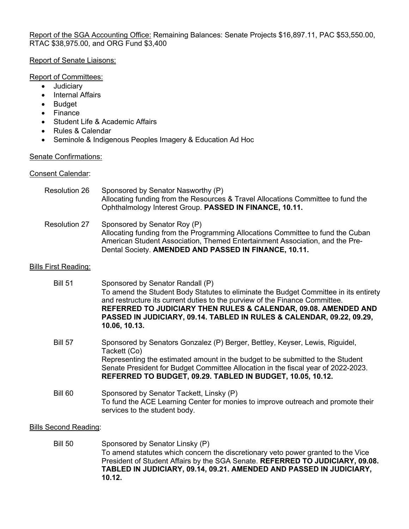Report of the SGA Accounting Office: Remaining Balances: Senate Projects \$16,897.11, PAC \$53,550.00, RTAC \$38,975.00, and ORG Fund \$3,400

# Report of Senate Liaisons:

#### Report of Committees:

- Judiciary
- Internal Affairs
- Budget
- Finance
- Student Life & Academic Affairs
- Rules & Calendar
- Seminole & Indigenous Peoples Imagery & Education Ad Hoc

# Senate Confirmations:

### Consent Calendar:

| <b>Resolution 26</b>        | Sponsored by Senator Nasworthy (P)<br>Allocating funding from the Resources & Travel Allocations Committee to fund the<br>Ophthalmology Interest Group. PASSED IN FINANCE, 10.11.                                                                                                                                                                                    |
|-----------------------------|----------------------------------------------------------------------------------------------------------------------------------------------------------------------------------------------------------------------------------------------------------------------------------------------------------------------------------------------------------------------|
| <b>Resolution 27</b>        | Sponsored by Senator Roy (P)<br>Allocating funding from the Programming Allocations Committee to fund the Cuban<br>American Student Association, Themed Entertainment Association, and the Pre-<br>Dental Society. AMENDED AND PASSED IN FINANCE, 10.11.                                                                                                             |
| <b>Bills First Reading:</b> |                                                                                                                                                                                                                                                                                                                                                                      |
| <b>Bill 51</b>              | Sponsored by Senator Randall (P)<br>To amend the Student Body Statutes to eliminate the Budget Committee in its entirety<br>and restructure its current duties to the purview of the Finance Committee.<br>REFERRED TO JUDICIARY THEN RULES & CALENDAR, 09.08. AMENDED AND<br>PASSED IN JUDICIARY, 09.14. TABLED IN RULES & CALENDAR, 09.22, 09.29,<br>10.06, 10.13. |
| <b>Bill 57</b>              | Sponsored by Senators Gonzalez (P) Berger, Bettley, Keyser, Lewis, Riguidel,<br>Tackett (Co)<br>Representing the estimated amount in the budget to be submitted to the Student<br>Senate President for Budget Committee Allocation in the fiscal year of 2022-2023.                                                                                                  |

- **REFERRED TO BUDGET, 09.29. TABLED IN BUDGET, 10.05, 10.12.**
- Bill 60 Sponsored by Senator Tackett, Linsky (P) To fund the ACE Learning Center for monies to improve outreach and promote their services to the student body.

# Bills Second Reading:

Bill 50 Sponsored by Senator Linsky (P) To amend statutes which concern the discretionary veto power granted to the Vice President of Student Affairs by the SGA Senate. **REFERRED TO JUDICIARY, 09.08. TABLED IN JUDICIARY, 09.14, 09.21. AMENDED AND PASSED IN JUDICIARY, 10.12.**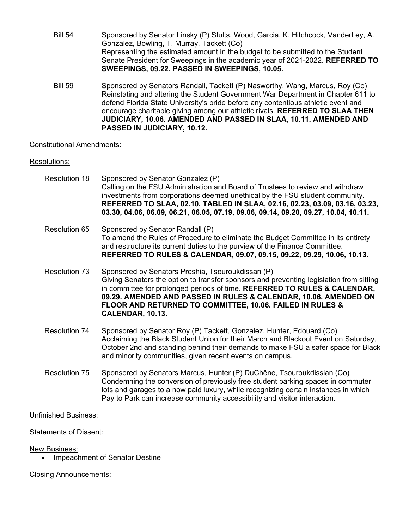- Bill 54 Sponsored by Senator Linsky (P) Stults, Wood, Garcia, K. Hitchcock, VanderLey, A. Gonzalez, Bowling, T. Murray, Tackett (Co) Representing the estimated amount in the budget to be submitted to the Student Senate President for Sweepings in the academic year of 2021-2022. **REFERRED TO SWEEPINGS, 09.22. PASSED IN SWEEPINGS, 10.05.**
- Bill 59 Sponsored by Senators Randall, Tackett (P) Nasworthy, Wang, Marcus, Roy (Co) Reinstating and altering the Student Government War Department in Chapter 611 to defend Florida State University's pride before any contentious athletic event and encourage charitable giving among our athletic rivals. **REFERRED TO SLAA THEN JUDICIARY, 10.06. AMENDED AND PASSED IN SLAA, 10.11. AMENDED AND PASSED IN JUDICIARY, 10.12.**

# Constitutional Amendments:

### Resolutions:

- Resolution 18 Sponsored by Senator Gonzalez (P) Calling on the FSU Administration and Board of Trustees to review and withdraw investments from corporations deemed unethical by the FSU student community. **REFERRED TO SLAA, 02.10. TABLED IN SLAA, 02.16, 02.23, 03.09, 03.16, 03.23, 03.30, 04.06, 06.09, 06.21, 06.05, 07.19, 09.06, 09.14, 09.20, 09.27, 10.04, 10.11.**
- Resolution 65 Sponsored by Senator Randall (P) To amend the Rules of Procedure to eliminate the Budget Committee in its entirety and restructure its current duties to the purview of the Finance Committee. **REFERRED TO RULES & CALENDAR, 09.07, 09.15, 09.22, 09.29, 10.06, 10.13.**
- Resolution 73 Sponsored by Senators Preshia, Tsouroukdissan (P) Giving Senators the option to transfer sponsors and preventing legislation from sitting in committee for prolonged periods of time. **REFERRED TO RULES & CALENDAR, 09.29. AMENDED AND PASSED IN RULES & CALENDAR, 10.06. AMENDED ON FLOOR AND RETURNED TO COMMITTEE, 10.06. FAILED IN RULES & CALENDAR, 10.13.**
- Resolution 74 Sponsored by Senator Roy (P) Tackett, Gonzalez, Hunter, Edouard (Co) Acclaiming the Black Student Union for their March and Blackout Event on Saturday, October 2nd and standing behind their demands to make FSU a safer space for Black and minority communities, given recent events on campus.
- Resolution 75 Sponsored by Senators Marcus, Hunter (P) DuChêne, Tsouroukdissian (Co) Condemning the conversion of previously free student parking spaces in commuter lots and garages to a now paid luxury, while recognizing certain instances in which Pay to Park can increase community accessibility and visitor interaction.

#### Unfinished Business:

#### Statements of Dissent:

#### New Business:

• Impeachment of Senator Destine

# Closing Announcements: